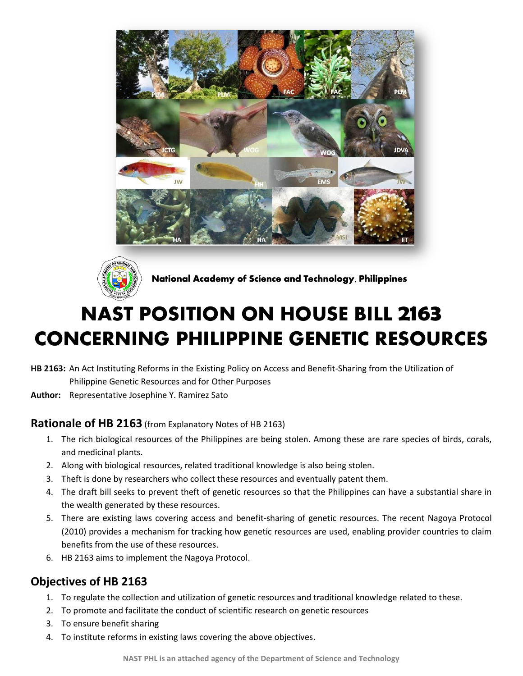



**National Academy of Science and Technology, Philippines**

# **NAST POSITION ON HOUSE BILL 2163 CONCERNING PHILIPPINE GENETIC RESOURCES**

- **HB 2163:** An Act Instituting Reforms in the Existing Policy on Access and Benefit-Sharing from the Utilization of Philippine Genetic Resources and for Other Purposes
- **Author:** Representative Josephine Y. Ramirez Sato

### **Rationale of HB 2163** (from Explanatory Notes of HB 2163)

- 1. The rich biological resources of the Philippines are being stolen. Among these are rare species of birds, corals, and medicinal plants.
- 2. Along with biological resources, related traditional knowledge is also being stolen.
- 3. Theft is done by researchers who collect these resources and eventually patent them.
- 4. The draft bill seeks to prevent theft of genetic resources so that the Philippines can have a substantial share in the wealth generated by these resources.
- 5. There are existing laws covering access and benefit-sharing of genetic resources. The recent Nagoya Protocol (2010) provides a mechanism for tracking how genetic resources are used, enabling provider countries to claim benefits from the use of these resources.
- 6. HB 2163 aims to implement the Nagoya Protocol.

# **Objectives of HB 2163**

- 1. To regulate the collection and utilization of genetic resources and traditional knowledge related to these.
- 2. To promote and facilitate the conduct of scientific research on genetic resources
- 3. To ensure benefit sharing
- 4. To institute reforms in existing laws covering the above objectives.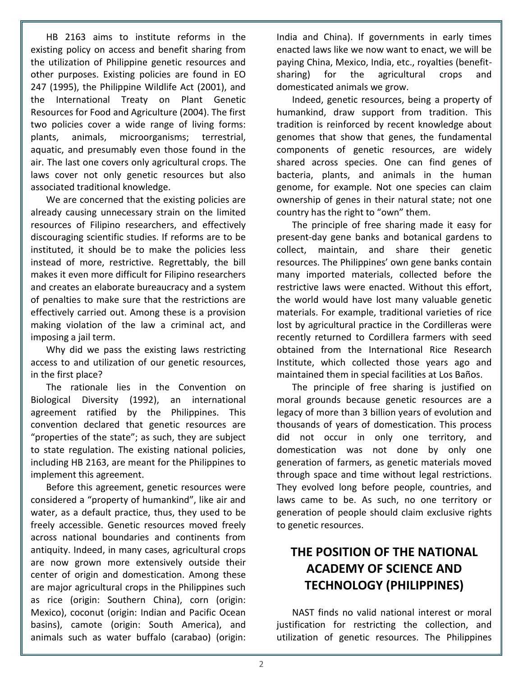HB 2163 aims to institute reforms in the existing policy on access and benefit sharing from the utilization of Philippine genetic resources and other purposes. Existing policies are found in EO 247 (1995), the Philippine Wildlife Act (2001), and the International Treaty on Plant Genetic Resources for Food and Agriculture (2004). The first two policies cover a wide range of living forms: plants, animals, microorganisms; terrestrial, aquatic, and presumably even those found in the air. The last one covers only agricultural crops. The laws cover not only genetic resources but also associated traditional knowledge.

We are concerned that the existing policies are already causing unnecessary strain on the limited resources of Filipino researchers, and effectively discouraging scientific studies. If reforms are to be instituted, it should be to make the policies less instead of more, restrictive. Regrettably, the bill makes it even more difficult for Filipino researchers and creates an elaborate bureaucracy and a system of penalties to make sure that the restrictions are effectively carried out. Among these is a provision making violation of the law a criminal act, and imposing a jail term.

Why did we pass the existing laws restricting access to and utilization of our genetic resources, in the first place?

The rationale lies in the Convention on Biological Diversity (1992), an international agreement ratified by the Philippines. This convention declared that genetic resources are "properties of the state"; as such, they are subject to state regulation. The existing national policies, including HB 2163, are meant for the Philippines to implement this agreement.

Before this agreement, genetic resources were considered a "property of humankind", like air and water, as a default practice, thus, they used to be freely accessible. Genetic resources moved freely across national boundaries and continents from antiquity. Indeed, in many cases, agricultural crops are now grown more extensively outside their center of origin and domestication. Among these are major agricultural crops in the Philippines such as rice (origin: Southern China), corn (origin: Mexico), coconut (origin: Indian and Pacific Ocean basins), camote (origin: South America), and animals such as water buffalo (carabao) (origin: India and China). If governments in early times enacted laws like we now want to enact, we will be paying China, Mexico, India, etc., royalties (benefitsharing) for the agricultural crops and domesticated animals we grow.

Indeed, genetic resources, being a property of humankind, draw support from tradition. This tradition is reinforced by recent knowledge about genomes that show that genes, the fundamental components of genetic resources, are widely shared across species. One can find genes of bacteria, plants, and animals in the human genome, for example. Not one species can claim ownership of genes in their natural state; not one country has the right to "own" them.

The principle of free sharing made it easy for present-day gene banks and botanical gardens to collect, maintain, and share their genetic resources. The Philippines' own gene banks contain many imported materials, collected before the restrictive laws were enacted. Without this effort, the world would have lost many valuable genetic materials. For example, traditional varieties of rice lost by agricultural practice in the Cordilleras were recently returned to Cordillera farmers with seed obtained from the International Rice Research Institute, which collected those years ago and maintained them in special facilities at Los Baños.

The principle of free sharing is justified on moral grounds because genetic resources are a legacy of more than 3 billion years of evolution and thousands of years of domestication. This process did not occur in only one territory, and domestication was not done by only one generation of farmers, as genetic materials moved through space and time without legal restrictions. They evolved long before people, countries, and laws came to be. As such, no one territory or generation of people should claim exclusive rights to genetic resources.

# **THE POSITION OF THE NATIONAL ACADEMY OF SCIENCE AND TECHNOLOGY (PHILIPPINES)**

NAST finds no valid national interest or moral justification for restricting the collection, and utilization of genetic resources. The Philippines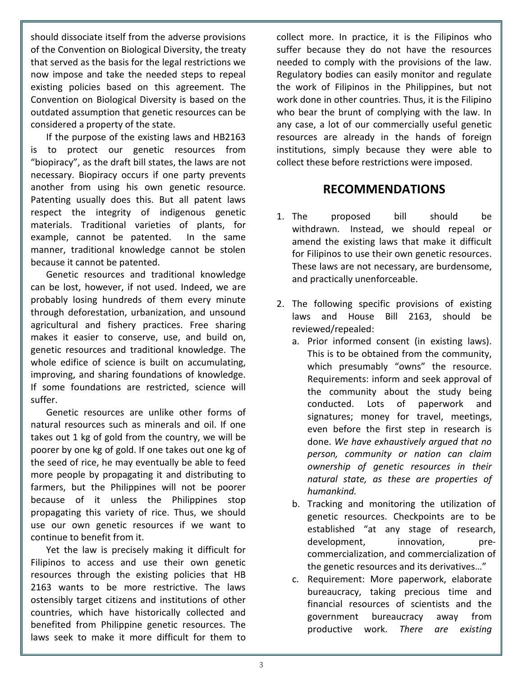should dissociate itself from the adverse provisions of the Convention on Biological Diversity, the treaty that served as the basis for the legal restrictions we now impose and take the needed steps to repeal existing policies based on this agreement. The Convention on Biological Diversity is based on the outdated assumption that genetic resources can be considered a property of the state.

If the purpose of the existing laws and HB2163 is to protect our genetic resources from "biopiracy", as the draft bill states, the laws are not necessary. Biopiracy occurs if one party prevents another from using his own genetic resource. Patenting usually does this. But all patent laws respect the integrity of indigenous genetic materials. Traditional varieties of plants, for example, cannot be patented. In the same manner, traditional knowledge cannot be stolen because it cannot be patented.

Genetic resources and traditional knowledge can be lost, however, if not used. Indeed, we are probably losing hundreds of them every minute through deforestation, urbanization, and unsound agricultural and fishery practices. Free sharing makes it easier to conserve, use, and build on, genetic resources and traditional knowledge. The whole edifice of science is built on accumulating, improving, and sharing foundations of knowledge. If some foundations are restricted, science will suffer.

Genetic resources are unlike other forms of natural resources such as minerals and oil. If one takes out 1 kg of gold from the country, we will be poorer by one kg of gold. If one takes out one kg of the seed of rice, he may eventually be able to feed more people by propagating it and distributing to farmers, but the Philippines will not be poorer because of it unless the Philippines stop propagating this variety of rice. Thus, we should use our own genetic resources if we want to continue to benefit from it.

Yet the law is precisely making it difficult for Filipinos to access and use their own genetic resources through the existing policies that HB 2163 wants to be more restrictive. The laws ostensibly target citizens and institutions of other countries, which have historically collected and benefited from Philippine genetic resources. The laws seek to make it more difficult for them to

collect more. In practice, it is the Filipinos who suffer because they do not have the resources needed to comply with the provisions of the law. Regulatory bodies can easily monitor and regulate the work of Filipinos in the Philippines, but not work done in other countries. Thus, it is the Filipino who bear the brunt of complying with the law. In any case, a lot of our commercially useful genetic resources are already in the hands of foreign institutions, simply because they were able to collect these before restrictions were imposed.

## **RECOMMENDATIONS**

- 1. The proposed bill should be withdrawn. Instead, we should repeal or amend the existing laws that make it difficult for Filipinos to use their own genetic resources. These laws are not necessary, are burdensome, and practically unenforceable.
- 2. The following specific provisions of existing laws and House Bill 2163, should be reviewed/repealed:
	- a. Prior informed consent (in existing laws). This is to be obtained from the community, which presumably "owns" the resource. Requirements: inform and seek approval of the community about the study being conducted. Lots of paperwork and signatures; money for travel, meetings, even before the first step in research is done. *We have exhaustively argued that no person, community or nation can claim ownership of genetic resources in their natural state, as these are properties of humankind.*
	- b. Tracking and monitoring the utilization of genetic resources. Checkpoints are to be established "at any stage of research, development, innovation, precommercialization, and commercialization of the genetic resources and its derivatives…"
	- c. Requirement: More paperwork, elaborate bureaucracy, taking precious time and financial resources of scientists and the government bureaucracy away from productive work. *There are existing*